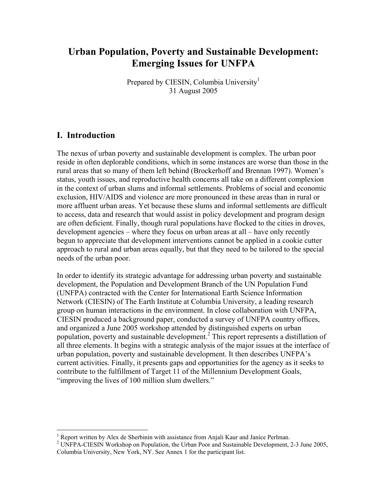# **Urban Population, Poverty and Sustainable Development: Emerging Issues for UNFPA**

Prepared by CIESIN, Columbia University<sup>1</sup> 31 August 2005

# **I. Introduction**

 $\overline{a}$ 

The nexus of urban poverty and sustainable development is complex. The urban poor reside in often deplorable conditions, which in some instances are worse than those in the rural areas that so many of them left behind (Brockerhoff and Brennan 1997). Women's status, youth issues, and reproductive health concerns all take on a different complexion in the context of urban slums and informal settlements. Problems of social and economic exclusion, HIV/AIDS and violence are more pronounced in these areas than in rural or more affluent urban areas. Yet because these slums and informal settlements are difficult to access, data and research that would assist in policy development and program design are often deficient. Finally, though rural populations have flocked to the cities in droves, development agencies – where they focus on urban areas at all – have only recently begun to appreciate that development interventions cannot be applied in a cookie cutter approach to rural and urban areas equally, but that they need to be tailored to the special needs of the urban poor.

In order to identify its strategic advantage for addressing urban poverty and sustainable development, the Population and Development Branch of the UN Population Fund (UNFPA) contracted with the Center for International Earth Science Information Network (CIESIN) of The Earth Institute at Columbia University, a leading research group on human interactions in the environment. In close collaboration with UNFPA, CIESIN produced a background paper, conducted a survey of UNFPA country offices, and organized a June 2005 workshop attended by distinguished experts on urban population, poverty and sustainable development.<sup>2</sup> This report represents a distillation of all three elements. It begins with a strategic analysis of the major issues at the interface of urban population, poverty and sustainable development. It then describes UNFPA's current activities. Finally, it presents gaps and opportunities for the agency as it seeks to contribute to the fulfillment of Target 11 of the Millennium Development Goals, "improving the lives of 100 million slum dwellers."

<sup>&</sup>lt;sup>1</sup> Report written by Alex de Sherbinin with assistance from Anjali Kaur and Janice Perlman.<br><sup>2</sup> UNERA CIESIN Workshop on Bopyletian, the Usher Boor and Sustainable Dovelopment.

<sup>&</sup>lt;sup>2</sup> UNFPA-CIESIN Workshop on Population, the Urban Poor and Sustainable Development, 2-3 June 2005, Columbia University, New York, NY. See Annex 1 for the participant list.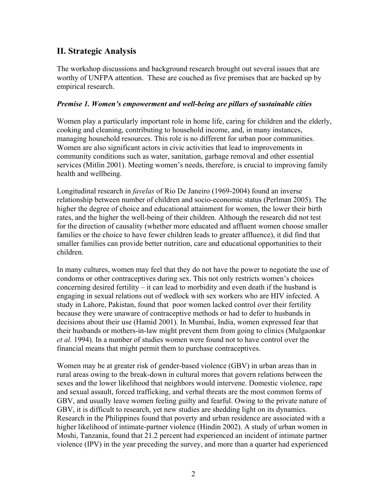# **II. Strategic Analysis**

The workshop discussions and background research brought out several issues that are worthy of UNFPA attention. These are couched as five premises that are backed up by empirical research.

#### *Premise 1. Women's empowerment and well-being are pillars of sustainable cities*

Women play a particularly important role in home life, caring for children and the elderly, cooking and cleaning, contributing to household income, and, in many instances, managing household resources. This role is no different for urban poor communities. Women are also significant actors in civic activities that lead to improvements in community conditions such as water, sanitation, garbage removal and other essential services (Mitlin 2001). Meeting women's needs, therefore, is crucial to improving family health and wellbeing.

Longitudinal research in *favelas* of Rio De Janeiro (1969-2004) found an inverse relationship between number of children and socio-economic status (Perlman 2005). The higher the degree of choice and educational attainment for women, the lower their birth rates, and the higher the well-being of their children. Although the research did not test for the direction of causality (whether more educated and affluent women choose smaller families or the choice to have fewer children leads to greater affluence), it did find that smaller families can provide better nutrition, care and educational opportunities to their children.

In many cultures, women may feel that they do not have the power to negotiate the use of condoms or other contraceptives during sex. This not only restricts women's choices concerning desired fertility – it can lead to morbidity and even death if the husband is engaging in sexual relations out of wedlock with sex workers who are HIV infected. A study in Lahore, Pakistan, found that poor women lacked control over their fertility because they were unaware of contraceptive methods or had to defer to husbands in decisions about their use (Hamid 2001). In Mumbai, India, women expressed fear that their husbands or mothers-in-law might prevent them from going to clinics (Mulgaonkar *et al.* 1994). In a number of studies women were found not to have control over the financial means that might permit them to purchase contraceptives.

Women may be at greater risk of gender-based violence (GBV) in urban areas than in rural areas owing to the break-down in cultural mores that govern relations between the sexes and the lower likelihood that neighbors would intervene. Domestic violence, rape and sexual assault, forced trafficking, and verbal threats are the most common forms of GBV, and usually leave women feeling guilty and fearful. Owing to the private nature of GBV, it is difficult to research, yet new studies are shedding light on its dynamics. Research in the Philippines found that poverty and urban residence are associated with a higher likelihood of intimate-partner violence (Hindin 2002). A study of urban women in Moshi, Tanzania, found that 21.2 percent had experienced an incident of intimate partner violence (IPV) in the year preceding the survey, and more than a quarter had experienced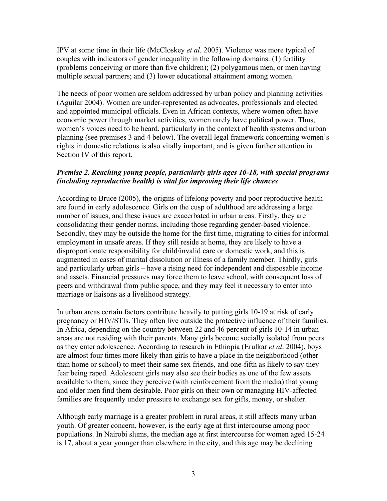IPV at some time in their life (McCloskey *et al.* 2005). Violence was more typical of couples with indicators of gender inequality in the following domains: (1) fertility (problems conceiving or more than five children); (2) polygamous men, or men having multiple sexual partners; and (3) lower educational attainment among women.

The needs of poor women are seldom addressed by urban policy and planning activities (Aguilar 2004). Women are under-represented as advocates, professionals and elected and appointed municipal officials. Even in African contexts, where women often have economic power through market activities, women rarely have political power. Thus, women's voices need to be heard, particularly in the context of health systems and urban planning (see premises 3 and 4 below). The overall legal framework concerning women's rights in domestic relations is also vitally important, and is given further attention in Section IV of this report.

#### *Premise 2. Reaching young people, particularly girls ages 10-18, with special programs (including reproductive health) is vital for improving their life chances*

According to Bruce (2005), the origins of lifelong poverty and poor reproductive health are found in early adolescence. Girls on the cusp of adulthood are addressing a large number of issues, and these issues are exacerbated in urban areas. Firstly, they are consolidating their gender norms, including those regarding gender-based violence. Secondly, they may be outside the home for the first time, migrating to cities for informal employment in unsafe areas. If they still reside at home, they are likely to have a disproportionate responsibility for child/invalid care or domestic work, and this is augmented in cases of marital dissolution or illness of a family member. Thirdly, girls – and particularly urban girls – have a rising need for independent and disposable income and assets. Financial pressures may force them to leave school, with consequent loss of peers and withdrawal from public space, and they may feel it necessary to enter into marriage or liaisons as a livelihood strategy.

In urban areas certain factors contribute heavily to putting girls 10-19 at risk of early pregnancy or HIV/STIs. They often live outside the protective influence of their families. In Africa, depending on the country between 22 and 46 percent of girls 10-14 in urban areas are not residing with their parents. Many girls become socially isolated from peers as they enter adolescence. According to research in Ethiopia (Erulkar *et al*. 2004), boys are almost four times more likely than girls to have a place in the neighborhood (other than home or school) to meet their same sex friends, and one-fifth as likely to say they fear being raped. Adolescent girls may also see their bodies as one of the few assets available to them, since they perceive (with reinforcement from the media) that young and older men find them desirable. Poor girls on their own or managing HIV-affected families are frequently under pressure to exchange sex for gifts, money, or shelter.

Although early marriage is a greater problem in rural areas, it still affects many urban youth. Of greater concern, however, is the early age at first intercourse among poor populations. In Nairobi slums, the median age at first intercourse for women aged 15-24 is 17, about a year younger than elsewhere in the city, and this age may be declining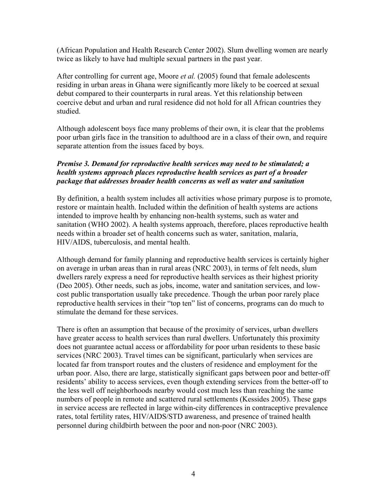(African Population and Health Research Center 2002). Slum dwelling women are nearly twice as likely to have had multiple sexual partners in the past year.

After controlling for current age, Moore *et al.* (2005) found that female adolescents residing in urban areas in Ghana were significantly more likely to be coerced at sexual debut compared to their counterparts in rural areas. Yet this relationship between coercive debut and urban and rural residence did not hold for all African countries they studied.

Although adolescent boys face many problems of their own, it is clear that the problems poor urban girls face in the transition to adulthood are in a class of their own, and require separate attention from the issues faced by boys.

#### *Premise 3. Demand for reproductive health services may need to be stimulated; a health systems approach places reproductive health services as part of a broader package that addresses broader health concerns as well as water and sanitation*

By definition, a health system includes all activities whose primary purpose is to promote, restore or maintain health. Included within the definition of health systems are actions intended to improve health by enhancing non-health systems, such as water and sanitation (WHO 2002). A health systems approach, therefore, places reproductive health needs within a broader set of health concerns such as water, sanitation, malaria, HIV/AIDS, tuberculosis, and mental health.

Although demand for family planning and reproductive health services is certainly higher on average in urban areas than in rural areas (NRC 2003), in terms of felt needs, slum dwellers rarely express a need for reproductive health services as their highest priority (Deo 2005). Other needs, such as jobs, income, water and sanitation services, and lowcost public transportation usually take precedence. Though the urban poor rarely place reproductive health services in their "top ten" list of concerns, programs can do much to stimulate the demand for these services.

There is often an assumption that because of the proximity of services, urban dwellers have greater access to health services than rural dwellers. Unfortunately this proximity does not guarantee actual access or affordability for poor urban residents to these basic services (NRC 2003). Travel times can be significant, particularly when services are located far from transport routes and the clusters of residence and employment for the urban poor. Also, there are large, statistically significant gaps between poor and better-off residents' ability to access services, even though extending services from the better-off to the less well off neighborhoods nearby would cost much less than reaching the same numbers of people in remote and scattered rural settlements (Kessides 2005). These gaps in service access are reflected in large within-city differences in contraceptive prevalence rates, total fertility rates, HIV/AIDS/STD awareness, and presence of trained health personnel during childbirth between the poor and non-poor (NRC 2003).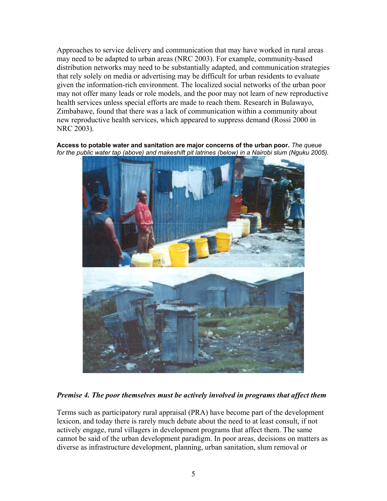Approaches to service delivery and communication that may have worked in rural areas may need to be adapted to urban areas (NRC 2003). For example, community-based distribution networks may need to be substantially adapted, and communication strategies that rely solely on media or advertising may be difficult for urban residents to evaluate given the information-rich environment. The localized social networks of the urban poor may not offer many leads or role models, and the poor may not learn of new reproductive health services unless special efforts are made to reach them. Research in Bulawayo, Zimbabawe, found that there was a lack of communication within a community about new reproductive health services, which appeared to suppress demand (Rossi 2000 in NRC 2003).

**Access to potable water and sanitation are major concerns of the urban poor.** *The queue*  for the public water tap (above) and makeshift pit latrines (below) in a Nairobi slum (Nguku 2005).



*Premise 4. The poor themselves must be actively involved in programs that affect them* 

Terms such as participatory rural appraisal (PRA) have become part of the development lexicon, and today there is rarely much debate about the need to at least consult, if not actively engage, rural villagers in development programs that affect them. The same cannot be said of the urban development paradigm. In poor areas, decisions on matters as diverse as infrastructure development, planning, urban sanitation, slum removal or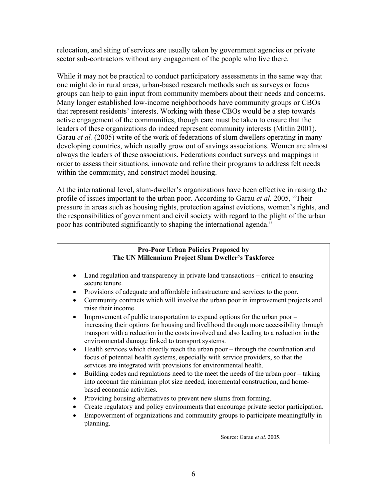relocation, and siting of services are usually taken by government agencies or private sector sub-contractors without any engagement of the people who live there.

While it may not be practical to conduct participatory assessments in the same way that one might do in rural areas, urban-based research methods such as surveys or focus groups can help to gain input from community members about their needs and concerns. Many longer established low-income neighborhoods have community groups or CBOs that represent residents' interests. Working with these CBOs would be a step towards active engagement of the communities, though care must be taken to ensure that the leaders of these organizations do indeed represent community interests (Mitlin 2001). Garau *et al.* (2005) write of the work of federations of slum dwellers operating in many developing countries, which usually grow out of savings associations. Women are almost always the leaders of these associations. Federations conduct surveys and mappings in order to assess their situations, innovate and refine their programs to address felt needs within the community, and construct model housing.

At the international level, slum-dweller's organizations have been effective in raising the profile of issues important to the urban poor. According to Garau *et al.* 2005, "Their pressure in areas such as housing rights, protection against evictions, women's rights, and the responsibilities of government and civil society with regard to the plight of the urban poor has contributed significantly to shaping the international agenda."

#### **Pro-Poor Urban Policies Proposed by The UN Millennium Project Slum Dweller's Taskforce**

- Land regulation and transparency in private land transactions critical to ensuring secure tenure.
- Provisions of adequate and affordable infrastructure and services to the poor.
- Community contracts which will involve the urban poor in improvement projects and raise their income.
- Improvement of public transportation to expand options for the urban poor increasing their options for housing and livelihood through more accessibility through transport with a reduction in the costs involved and also leading to a reduction in the environmental damage linked to transport systems.
- Health services which directly reach the urban poor through the coordination and focus of potential health systems, especially with service providers, so that the services are integrated with provisions for environmental health.
- Building codes and regulations need to the meet the needs of the urban poor taking into account the minimum plot size needed, incremental construction, and homebased economic activities.
- Providing housing alternatives to prevent new slums from forming.
- Create regulatory and policy environments that encourage private sector participation.
- Empowerment of organizations and community groups to participate meaningfully in planning.

Source: Garau *et al.* 2005.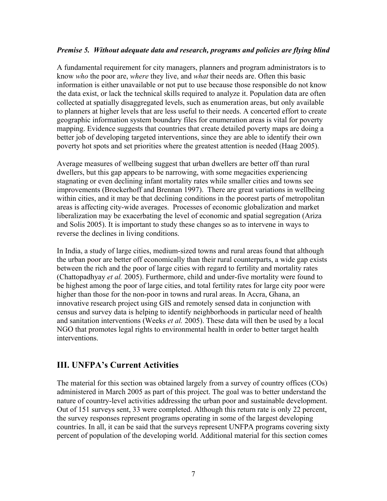#### *Premise 5. Without adequate data and research, programs and policies are flying blind*

A fundamental requirement for city managers, planners and program administrators is to know *who* the poor are, *where* they live, and *what* their needs are. Often this basic information is either unavailable or not put to use because those responsible do not know the data exist, or lack the technical skills required to analyze it. Population data are often collected at spatially disaggregated levels, such as enumeration areas, but only available to planners at higher levels that are less useful to their needs. A concerted effort to create geographic information system boundary files for enumeration areas is vital for poverty mapping. Evidence suggests that countries that create detailed poverty maps are doing a better job of developing targeted interventions, since they are able to identify their own poverty hot spots and set priorities where the greatest attention is needed (Haag 2005).

Average measures of wellbeing suggest that urban dwellers are better off than rural dwellers, but this gap appears to be narrowing, with some megacities experiencing stagnating or even declining infant mortality rates while smaller cities and towns see improvements (Brockerhoff and Brennan 1997). There are great variations in wellbeing within cities, and it may be that declining conditions in the poorest parts of metropolitan areas is affecting city-wide averages. Processes of economic globalization and market liberalization may be exacerbating the level of economic and spatial segregation (Ariza and Solis 2005). It is important to study these changes so as to intervene in ways to reverse the declines in living conditions.

In India, a study of large cities, medium-sized towns and rural areas found that although the urban poor are better off economically than their rural counterparts, a wide gap exists between the rich and the poor of large cities with regard to fertility and mortality rates (Chattopadhyay *et al.* 2005). Furthermore, child and under-five mortality were found to be highest among the poor of large cities, and total fertility rates for large city poor were higher than those for the non-poor in towns and rural areas. In Accra, Ghana, an innovative research project using GIS and remotely sensed data in conjunction with census and survey data is helping to identify neighborhoods in particular need of health and sanitation interventions (Weeks *et al.* 2005). These data will then be used by a local NGO that promotes legal rights to environmental health in order to better target health interventions.

# **III. UNFPA's Current Activities**

The material for this section was obtained largely from a survey of country offices (COs) administered in March 2005 as part of this project. The goal was to better understand the nature of country-level activities addressing the urban poor and sustainable development. Out of 151 surveys sent, 33 were completed. Although this return rate is only 22 percent, the survey responses represent programs operating in some of the largest developing countries. In all, it can be said that the surveys represent UNFPA programs covering sixty percent of population of the developing world. Additional material for this section comes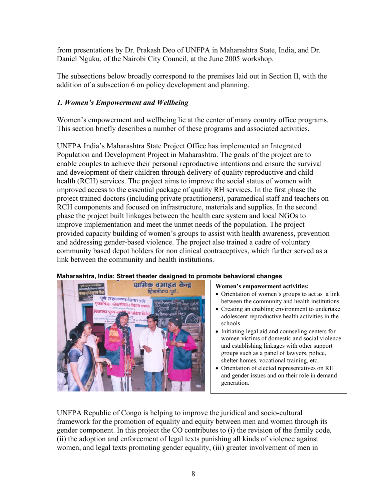from presentations by Dr. Prakash Deo of UNFPA in Maharashtra State, India, and Dr. Daniel Nguku, of the Nairobi City Council, at the June 2005 workshop.

The subsections below broadly correspond to the premises laid out in Section II, with the addition of a subsection 6 on policy development and planning.

## *1. Women's Empowerment and Wellbeing*

Women's empowerment and wellbeing lie at the center of many country office programs. This section briefly describes a number of these programs and associated activities.

UNFPA India's Maharashtra State Project Office has implemented an Integrated Population and Development Project in Maharashtra. The goals of the project are to enable couples to achieve their personal reproductive intentions and ensure the survival and development of their children through delivery of quality reproductive and child health (RCH) services. The project aims to improve the social status of women with improved access to the essential package of quality RH services. In the first phase the project trained doctors (including private practitioners), paramedical staff and teachers on RCH components and focused on infrastructure, materials and supplies. In the second phase the project built linkages between the health care system and local NGOs to improve implementation and meet the unmet needs of the population. The project provided capacity building of women's groups to assist with health awareness, prevention and addressing gender-based violence. The project also trained a cadre of voluntary community based depot holders for non clinical contraceptives, which further served as a link between the community and health institutions.



#### **Maharashtra, India: Street theater designed to promote behavioral changes**

#### **Women's empowerment activities:**

- Orientation of women's groups to act as a link between the community and health institutions.
- Creating an enabling environment to undertake adolescent reproductive health activities in the schools.
- Initiating legal aid and counseling centers for women victims of domestic and social violence and establishing linkages with other support groups such as a panel of lawyers, police, shelter homes, vocational training, etc.
- Orientation of elected representatives on RH and gender issues and on their role in demand generation.

UNFPA Republic of Congo is helping to improve the juridical and socio-cultural framework for the promotion of equality and equity between men and women through its gender component. In this project the CO contributes to (i) the revision of the family code, (ii) the adoption and enforcement of legal texts punishing all kinds of violence against women, and legal texts promoting gender equality, (iii) greater involvement of men in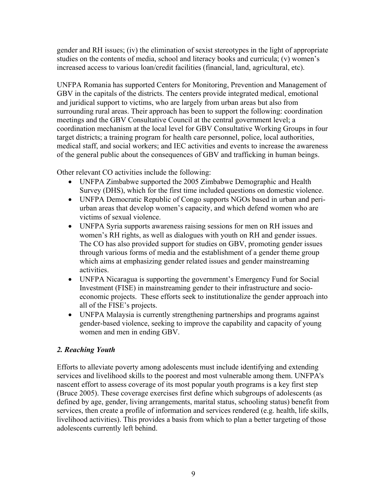gender and RH issues; (iv) the elimination of sexist stereotypes in the light of appropriate studies on the contents of media, school and literacy books and curricula; (v) women's increased access to various loan/credit facilities (financial, land, agricultural, etc).

UNFPA Romania has supported Centers for Monitoring, Prevention and Management of GBV in the capitals of the districts. The centers provide integrated medical, emotional and juridical support to victims, who are largely from urban areas but also from surrounding rural areas. Their approach has been to support the following: coordination meetings and the GBV Consultative Council at the central government level; a coordination mechanism at the local level for GBV Consultative Working Groups in four target districts; a training program for health care personnel, police, local authorities, medical staff, and social workers; and IEC activities and events to increase the awareness of the general public about the consequences of GBV and trafficking in human beings.

Other relevant CO activities include the following:

- UNFPA Zimbabwe supported the 2005 Zimbabwe Demographic and Health Survey (DHS), which for the first time included questions on domestic violence.
- UNFPA Democratic Republic of Congo supports NGOs based in urban and periurban areas that develop women's capacity, and which defend women who are victims of sexual violence.
- UNFPA Syria supports awareness raising sessions for men on RH issues and women's RH rights, as well as dialogues with youth on RH and gender issues. The CO has also provided support for studies on GBV, promoting gender issues through various forms of media and the establishment of a gender theme group which aims at emphasizing gender related issues and gender mainstreaming activities.
- UNFPA Nicaragua is supporting the government's Emergency Fund for Social Investment (FISE) in mainstreaming gender to their infrastructure and socioeconomic projects. These efforts seek to institutionalize the gender approach into all of the FISE's projects.
- UNFPA Malaysia is currently strengthening partnerships and programs against gender-based violence, seeking to improve the capability and capacity of young women and men in ending GBV.

## *2. Reaching Youth*

Efforts to alleviate poverty among adolescents must include identifying and extending services and livelihood skills to the poorest and most vulnerable among them. UNFPA's nascent effort to assess coverage of its most popular youth programs is a key first step (Bruce 2005). These coverage exercises first define which subgroups of adolescents (as defined by age, gender, living arrangements, marital status, schooling status) benefit from services, then create a profile of information and services rendered (e.g. health, life skills, livelihood activities). This provides a basis from which to plan a better targeting of those adolescents currently left behind.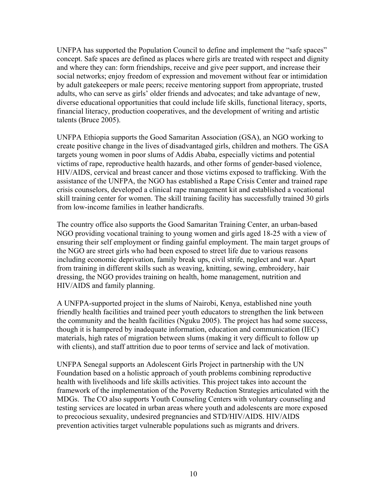UNFPA has supported the Population Council to define and implement the "safe spaces" concept. Safe spaces are defined as places where girls are treated with respect and dignity and where they can: form friendships, receive and give peer support, and increase their social networks; enjoy freedom of expression and movement without fear or intimidation by adult gatekeepers or male peers; receive mentoring support from appropriate, trusted adults, who can serve as girls' older friends and advocates; and take advantage of new, diverse educational opportunities that could include life skills, functional literacy, sports, financial literacy, production cooperatives, and the development of writing and artistic talents (Bruce 2005).

UNFPA Ethiopia supports the Good Samaritan Association (GSA), an NGO working to create positive change in the lives of disadvantaged girls, children and mothers. The GSA targets young women in poor slums of Addis Ababa, especially victims and potential victims of rape, reproductive health hazards, and other forms of gender-based violence, HIV/AIDS, cervical and breast cancer and those victims exposed to trafficking. With the assistance of the UNFPA, the NGO has established a Rape Crisis Center and trained rape crisis counselors, developed a clinical rape management kit and established a vocational skill training center for women. The skill training facility has successfully trained 30 girls from low-income families in leather handicrafts.

The country office also supports the Good Samaritan Training Center, an urban-based NGO providing vocational training to young women and girls aged 18-25 with a view of ensuring their self employment or finding gainful employment. The main target groups of the NGO are street girls who had been exposed to street life due to various reasons including economic deprivation, family break ups, civil strife, neglect and war. Apart from training in different skills such as weaving, knitting, sewing, embroidery, hair dressing, the NGO provides training on health, home management, nutrition and HIV/AIDS and family planning.

A UNFPA-supported project in the slums of Nairobi, Kenya, established nine youth friendly health facilities and trained peer youth educators to strengthen the link between the community and the health facilities (Nguku 2005). The project has had some success, though it is hampered by inadequate information, education and communication (IEC) materials, high rates of migration between slums (making it very difficult to follow up with clients), and staff attrition due to poor terms of service and lack of motivation.

UNFPA Senegal supports an Adolescent Girls Project in partnership with the UN Foundation based on a holistic approach of youth problems combining reproductive health with livelihoods and life skills activities. This project takes into account the framework of the implementation of the Poverty Reduction Strategies articulated with the MDGs. The CO also supports Youth Counseling Centers with voluntary counseling and testing services are located in urban areas where youth and adolescents are more exposed to precocious sexuality, undesired pregnancies and STD/HIV/AIDS. HIV/AIDS prevention activities target vulnerable populations such as migrants and drivers.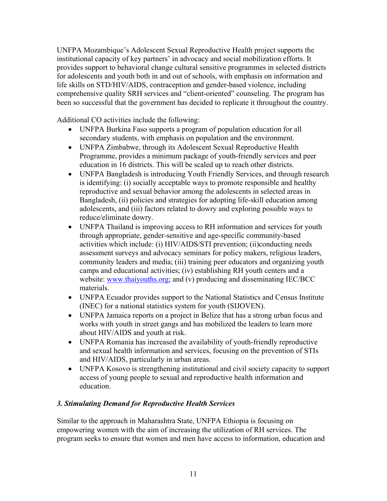UNFPA Mozambique's Adolescent Sexual Reproductive Health project supports the institutional capacity of key partners' in advocacy and social mobilization efforts. It provides support to behavioral change cultural sensitive programmes in selected districts for adolescents and youth both in and out of schools, with emphasis on information and life skills on STD/HIV/AIDS, contraception and gender-based violence, including comprehensive quality SRH services and "client-oriented" counseling. The program has been so successful that the government has decided to replicate it throughout the country.

Additional CO activities include the following:

- UNFPA Burkina Faso supports a program of population education for all secondary students, with emphasis on population and the environment.
- UNFPA Zimbabwe, through its Adolescent Sexual Reproductive Health Programme, provides a minimum package of youth-friendly services and peer education in 16 districts. This will be scaled up to reach other districts.
- UNFPA Bangladesh is introducing Youth Friendly Services, and through research is identifying: (i) socially acceptable ways to promote responsible and healthy reproductive and sexual behavior among the adolescents in selected areas in Bangladesh, (ii) policies and strategies for adopting life-skill education among adolescents, and (iii) factors related to dowry and exploring possible ways to reduce/eliminate dowry.
- UNFPA Thailand is improving access to RH information and services for youth through appropriate, gender-sensitive and age-specific community-based activities which include: (i) HIV/AIDS/STI prevention; (ii)conducting needs assessment surveys and advocacy seminars for policy makers, religious leaders, community leaders and media; (iii) training peer educators and organizing youth camps and educational activities; (iv) establishing RH youth centers and a website: www.thaiyouths.org; and (v) producing and disseminating IEC/BCC materials.
- UNFPA Ecuador provides support to the National Statistics and Census Institute (INEC) for a national statistics system for youth (SIJOVEN).
- UNFPA Jamaica reports on a project in Belize that has a strong urban focus and works with youth in street gangs and has mobilized the leaders to learn more about HIV/AIDS and youth at risk.
- UNFPA Romania has increased the availability of youth-friendly reproductive and sexual health information and services, focusing on the prevention of STIs and HIV/AIDS, particularly in urban areas.
- UNFPA Kosovo is strengthening institutional and civil society capacity to support access of young people to sexual and reproductive health information and education.

## *3. Stimulating Demand for Reproductive Health Services*

Similar to the approach in Maharashtra State, UNFPA Ethiopia is focusing on empowering women with the aim of increasing the utilization of RH services. The program seeks to ensure that women and men have access to information, education and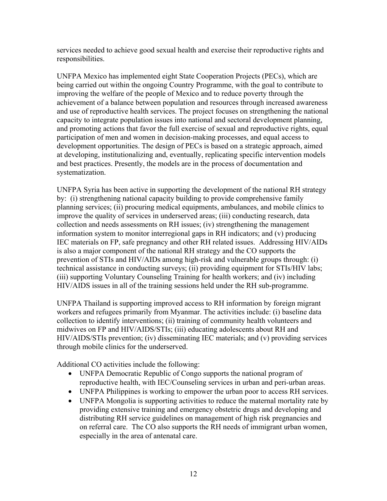services needed to achieve good sexual health and exercise their reproductive rights and responsibilities.

UNFPA Mexico has implemented eight State Cooperation Projects (PECs), which are being carried out within the ongoing Country Programme, with the goal to contribute to improving the welfare of the people of Mexico and to reduce poverty through the achievement of a balance between population and resources through increased awareness and use of reproductive health services. The project focuses on strengthening the national capacity to integrate population issues into national and sectoral development planning, and promoting actions that favor the full exercise of sexual and reproductive rights, equal participation of men and women in decision-making processes, and equal access to development opportunities. The design of PECs is based on a strategic approach, aimed at developing, institutionalizing and, eventually, replicating specific intervention models and best practices. Presently, the models are in the process of documentation and systematization.

UNFPA Syria has been active in supporting the development of the national RH strategy by: (i) strengthening national capacity building to provide comprehensive family planning services; (ii) procuring medical equipments, ambulances, and mobile clinics to improve the quality of services in underserved areas; (iii) conducting research, data collection and needs assessments on RH issues; (iv) strengthening the management information system to monitor interregional gaps in RH indicators; and (v) producing IEC materials on FP, safe pregnancy and other RH related issues. Addressing HIV/AIDs is also a major component of the national RH strategy and the CO supports the prevention of STIs and HIV/AIDs among high-risk and vulnerable groups through: (i) technical assistance in conducting surveys; (ii) providing equipment for STIs/HIV labs; (iii) supporting Voluntary Counseling Training for health workers; and (iv) including HIV/AIDS issues in all of the training sessions held under the RH sub-programme.

UNFPA Thailand is supporting improved access to RH information by foreign migrant workers and refugees primarily from Myanmar. The activities include: (i) baseline data collection to identify interventions; (ii) training of community health volunteers and midwives on FP and HIV/AIDS/STIs; (iii) educating adolescents about RH and HIV/AIDS/STIs prevention; (iv) disseminating IEC materials; and (v) providing services through mobile clinics for the underserved.

Additional CO activities include the following:

- UNFPA Democratic Republic of Congo supports the national program of reproductive health, with IEC/Counseling services in urban and peri-urban areas.
- UNFPA Philippines is working to empower the urban poor to access RH services.
- UNFPA Mongolia is supporting activities to reduce the maternal mortality rate by providing extensive training and emergency obstetric drugs and developing and distributing RH service guidelines on management of high risk pregnancies and on referral care. The CO also supports the RH needs of immigrant urban women, especially in the area of antenatal care.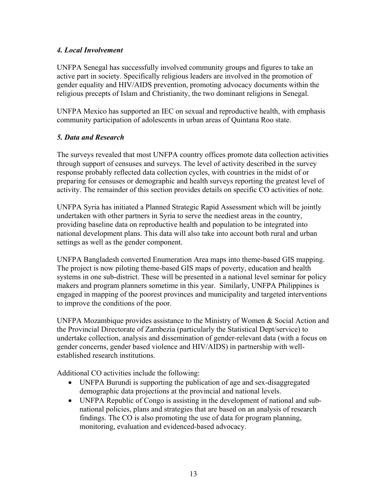### *4. Local Involvement*

UNFPA Senegal has successfully involved community groups and figures to take an active part in society. Specifically religious leaders are involved in the promotion of gender equality and HIV/AIDS prevention, promoting advocacy documents within the religious precepts of Islam and Christianity, the two dominant religions in Senegal.

UNFPA Mexico has supported an IEC on sexual and reproductive health, with emphasis community participation of adolescents in urban areas of Quintana Roo state.

## *5. Data and Research*

The surveys revealed that most UNFPA country offices promote data collection activities through support of censuses and surveys. The level of activity described in the survey response probably reflected data collection cycles, with countries in the midst of or preparing for censuses or demographic and health surveys reporting the greatest level of activity. The remainder of this section provides details on specific CO activities of note.

UNFPA Syria has initiated a Planned Strategic Rapid Assessment which will be jointly undertaken with other partners in Syria to serve the neediest areas in the country, providing baseline data on reproductive health and population to be integrated into national development plans. This data will also take into account both rural and urban settings as well as the gender component.

UNFPA Bangladesh converted Enumeration Area maps into theme-based GIS mapping. The project is now piloting theme-based GIS maps of poverty, education and health systems in one sub-district. These will be presented in a national level seminar for policy makers and program planners sometime in this year. Similarly, UNFPA Philippines is engaged in mapping of the poorest provinces and municipality and targeted interventions to improve the conditions of the poor.

UNFPA Mozambique provides assistance to the Ministry of Women & Social Action and the Provincial Directorate of Zambezia (particularly the Statistical Dept/service) to undertake collection, analysis and dissemination of gender-relevant data (with a focus on gender concerns, gender based violence and HIV/AIDS) in partnership with wellestablished research institutions.

Additional CO activities include the following:

- UNFPA Burundi is supporting the publication of age and sex-disaggregated demographic data projections at the provincial and national levels.
- UNFPA Republic of Congo is assisting in the development of national and subnational policies, plans and strategies that are based on an analysis of research findings. The CO is also promoting the use of data for program planning, monitoring, evaluation and evidenced-based advocacy.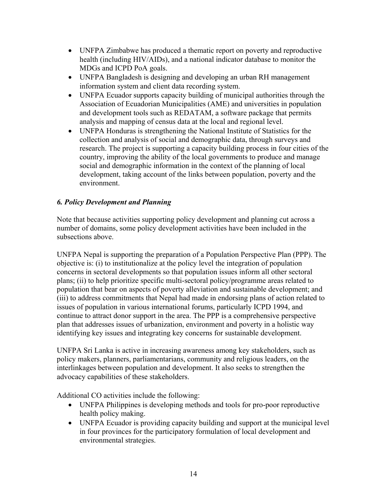- UNFPA Zimbabwe has produced a thematic report on poverty and reproductive health (including HIV/AIDs), and a national indicator database to monitor the MDGs and ICPD PoA goals.
- UNFPA Bangladesh is designing and developing an urban RH management information system and client data recording system.
- UNFPA Ecuador supports capacity building of municipal authorities through the Association of Ecuadorian Municipalities (AME) and universities in population and development tools such as REDATAM, a software package that permits analysis and mapping of census data at the local and regional level.
- UNFPA Honduras is strengthening the National Institute of Statistics for the collection and analysis of social and demographic data, through surveys and research. The project is supporting a capacity building process in four cities of the country, improving the ability of the local governments to produce and manage social and demographic information in the context of the planning of local development, taking account of the links between population, poverty and the environment.

## *6. Policy Development and Planning*

Note that because activities supporting policy development and planning cut across a number of domains, some policy development activities have been included in the subsections above.

UNFPA Nepal is supporting the preparation of a Population Perspective Plan (PPP). The objective is: (i) to institutionalize at the policy level the integration of population concerns in sectoral developments so that population issues inform all other sectoral plans; (ii) to help prioritize specific multi-sectoral policy/programme areas related to population that bear on aspects of poverty alleviation and sustainable development; and (iii) to address commitments that Nepal had made in endorsing plans of action related to issues of population in various international forums, particularly ICPD 1994, and continue to attract donor support in the area. The PPP is a comprehensive perspective plan that addresses issues of urbanization, environment and poverty in a holistic way identifying key issues and integrating key concerns for sustainable development.

UNFPA Sri Lanka is active in increasing awareness among key stakeholders, such as policy makers, planners, parliamentarians, community and religious leaders, on the interlinkages between population and development. It also seeks to strengthen the advocacy capabilities of these stakeholders.

Additional CO activities include the following:

- UNFPA Philippines is developing methods and tools for pro-poor reproductive health policy making.
- UNFPA Ecuador is providing capacity building and support at the municipal level in four provinces for the participatory formulation of local development and environmental strategies.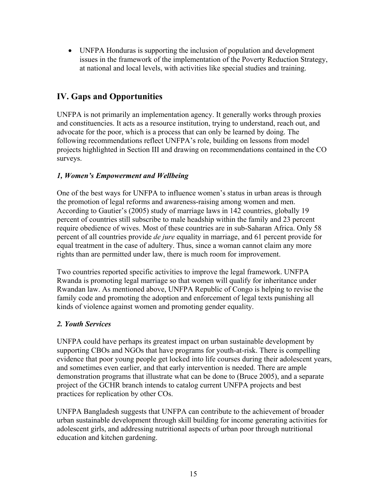• UNFPA Honduras is supporting the inclusion of population and development issues in the framework of the implementation of the Poverty Reduction Strategy, at national and local levels, with activities like special studies and training.

# **IV. Gaps and Opportunities**

UNFPA is not primarily an implementation agency. It generally works through proxies and constituencies. It acts as a resource institution, trying to understand, reach out, and advocate for the poor, which is a process that can only be learned by doing. The following recommendations reflect UNFPA's role, building on lessons from model projects highlighted in Section III and drawing on recommendations contained in the CO surveys.

### *1, Women's Empowerment and Wellbeing*

One of the best ways for UNFPA to influence women's status in urban areas is through the promotion of legal reforms and awareness-raising among women and men. According to Gautier's (2005) study of marriage laws in 142 countries, globally 19 percent of countries still subscribe to male headship within the family and 23 percent require obedience of wives. Most of these countries are in sub-Saharan Africa. Only 58 percent of all countries provide *de jure* equality in marriage, and 61 percent provide for equal treatment in the case of adultery. Thus, since a woman cannot claim any more rights than are permitted under law, there is much room for improvement.

Two countries reported specific activities to improve the legal framework. UNFPA Rwanda is promoting legal marriage so that women will qualify for inheritance under Rwandan law. As mentioned above, UNFPA Republic of Congo is helping to revise the family code and promoting the adoption and enforcement of legal texts punishing all kinds of violence against women and promoting gender equality.

#### *2. Youth Services*

UNFPA could have perhaps its greatest impact on urban sustainable development by supporting CBOs and NGOs that have programs for youth-at-risk. There is compelling evidence that poor young people get locked into life courses during their adolescent years, and sometimes even earlier, and that early intervention is needed. There are ample demonstration programs that illustrate what can be done to (Bruce 2005), and a separate project of the GCHR branch intends to catalog current UNFPA projects and best practices for replication by other COs.

UNFPA Bangladesh suggests that UNFPA can contribute to the achievement of broader urban sustainable development through skill building for income generating activities for adolescent girls, and addressing nutritional aspects of urban poor through nutritional education and kitchen gardening.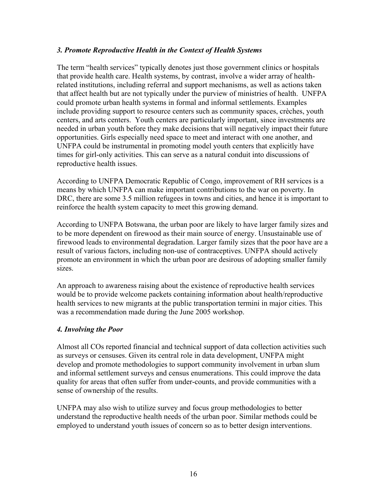#### *3. Promote Reproductive Health in the Context of Health Systems*

The term "health services" typically denotes just those government clinics or hospitals that provide health care. Health systems, by contrast, involve a wider array of healthrelated institutions, including referral and support mechanisms, as well as actions taken that affect health but are not typically under the purview of ministries of health. UNFPA could promote urban health systems in formal and informal settlements. Examples include providing support to resource centers such as community spaces, crèches, youth centers, and arts centers. Youth centers are particularly important, since investments are needed in urban youth before they make decisions that will negatively impact their future opportunities. Girls especially need space to meet and interact with one another, and UNFPA could be instrumental in promoting model youth centers that explicitly have times for girl-only activities. This can serve as a natural conduit into discussions of reproductive health issues.

According to UNFPA Democratic Republic of Congo, improvement of RH services is a means by which UNFPA can make important contributions to the war on poverty. In DRC, there are some 3.5 million refugees in towns and cities, and hence it is important to reinforce the health system capacity to meet this growing demand.

According to UNFPA Botswana, the urban poor are likely to have larger family sizes and to be more dependent on firewood as their main source of energy. Unsustainable use of firewood leads to environmental degradation. Larger family sizes that the poor have are a result of various factors, including non-use of contraceptives. UNFPA should actively promote an environment in which the urban poor are desirous of adopting smaller family sizes.

An approach to awareness raising about the existence of reproductive health services would be to provide welcome packets containing information about health/reproductive health services to new migrants at the public transportation termini in major cities. This was a recommendation made during the June 2005 workshop.

#### *4. Involving the Poor*

Almost all COs reported financial and technical support of data collection activities such as surveys or censuses. Given its central role in data development, UNFPA might develop and promote methodologies to support community involvement in urban slum and informal settlement surveys and census enumerations. This could improve the data quality for areas that often suffer from under-counts, and provide communities with a sense of ownership of the results.

UNFPA may also wish to utilize survey and focus group methodologies to better understand the reproductive health needs of the urban poor. Similar methods could be employed to understand youth issues of concern so as to better design interventions.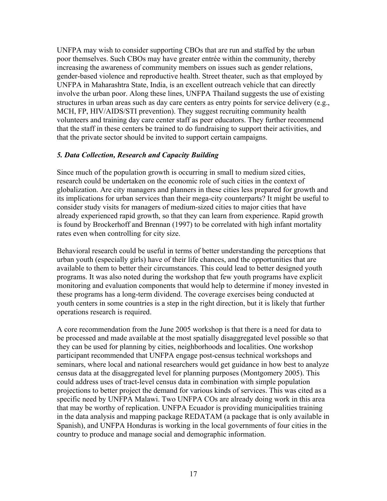UNFPA may wish to consider supporting CBOs that are run and staffed by the urban poor themselves. Such CBOs may have greater entrée within the community, thereby increasing the awareness of community members on issues such as gender relations, gender-based violence and reproductive health. Street theater, such as that employed by UNFPA in Maharashtra State, India, is an excellent outreach vehicle that can directly involve the urban poor. Along these lines, UNFPA Thailand suggests the use of existing structures in urban areas such as day care centers as entry points for service delivery (e.g., MCH, FP, HIV/AIDS/STI prevention). They suggest recruiting community health volunteers and training day care center staff as peer educators. They further recommend that the staff in these centers be trained to do fundraising to support their activities, and that the private sector should be invited to support certain campaigns.

#### *5. Data Collection, Research and Capacity Building*

Since much of the population growth is occurring in small to medium sized cities, research could be undertaken on the economic role of such cities in the context of globalization. Are city managers and planners in these cities less prepared for growth and its implications for urban services than their mega-city counterparts? It might be useful to consider study visits for managers of medium-sized cities to major cities that have already experienced rapid growth, so that they can learn from experience. Rapid growth is found by Brockerhoff and Brennan (1997) to be correlated with high infant mortality rates even when controlling for city size.

Behavioral research could be useful in terms of better understanding the perceptions that urban youth (especially girls) have of their life chances, and the opportunities that are available to them to better their circumstances. This could lead to better designed youth programs. It was also noted during the workshop that few youth programs have explicit monitoring and evaluation components that would help to determine if money invested in these programs has a long-term dividend. The coverage exercises being conducted at youth centers in some countries is a step in the right direction, but it is likely that further operations research is required.

A core recommendation from the June 2005 workshop is that there is a need for data to be processed and made available at the most spatially disaggregated level possible so that they can be used for planning by cities, neighborhoods and localities. One workshop participant recommended that UNFPA engage post-census technical workshops and seminars, where local and national researchers would get guidance in how best to analyze census data at the disaggregated level for planning purposes (Montgomery 2005). This could address uses of tract-level census data in combination with simple population projections to better project the demand for various kinds of services. This was cited as a specific need by UNFPA Malawi. Two UNFPA COs are already doing work in this area that may be worthy of replication. UNFPA Ecuador is providing municipalities training in the data analysis and mapping package REDATAM (a package that is only available in Spanish), and UNFPA Honduras is working in the local governments of four cities in the country to produce and manage social and demographic information.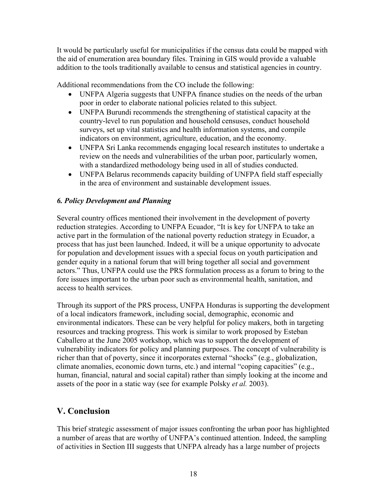It would be particularly useful for municipalities if the census data could be mapped with the aid of enumeration area boundary files. Training in GIS would provide a valuable addition to the tools traditionally available to census and statistical agencies in country.

Additional recommendations from the CO include the following:

- UNFPA Algeria suggests that UNFPA finance studies on the needs of the urban poor in order to elaborate national policies related to this subject.
- UNFPA Burundi recommends the strengthening of statistical capacity at the country-level to run population and household censuses, conduct household surveys, set up vital statistics and health information systems, and compile indicators on environment, agriculture, education, and the economy.
- UNFPA Sri Lanka recommends engaging local research institutes to undertake a review on the needs and vulnerabilities of the urban poor, particularly women, with a standardized methodology being used in all of studies conducted.
- UNFPA Belarus recommends capacity building of UNFPA field staff especially in the area of environment and sustainable development issues.

### *6. Policy Development and Planning*

Several country offices mentioned their involvement in the development of poverty reduction strategies. According to UNFPA Ecuador, "It is key for UNFPA to take an active part in the formulation of the national poverty reduction strategy in Ecuador, a process that has just been launched. Indeed, it will be a unique opportunity to advocate for population and development issues with a special focus on youth participation and gender equity in a national forum that will bring together all social and government actors." Thus, UNFPA could use the PRS formulation process as a forum to bring to the fore issues important to the urban poor such as environmental health, sanitation, and access to health services.

Through its support of the PRS process, UNFPA Honduras is supporting the development of a local indicators framework, including social, demographic, economic and environmental indicators. These can be very helpful for policy makers, both in targeting resources and tracking progress. This work is similar to work proposed by Esteban Caballero at the June 2005 workshop, which was to support the development of vulnerability indicators for policy and planning purposes. The concept of vulnerability is richer than that of poverty, since it incorporates external "shocks" (e.g., globalization, climate anomalies, economic down turns, etc.) and internal "coping capacities" (e.g., human, financial, natural and social capital) rather than simply looking at the income and assets of the poor in a static way (see for example Polsky *et al.* 2003).

# **V. Conclusion**

This brief strategic assessment of major issues confronting the urban poor has highlighted a number of areas that are worthy of UNFPA's continued attention. Indeed, the sampling of activities in Section III suggests that UNFPA already has a large number of projects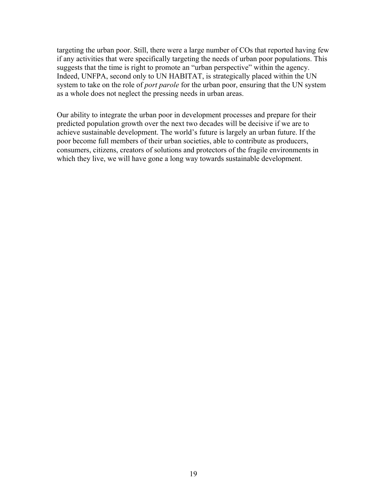targeting the urban poor. Still, there were a large number of COs that reported having few if any activities that were specifically targeting the needs of urban poor populations. This suggests that the time is right to promote an "urban perspective" within the agency. Indeed, UNFPA, second only to UN HABITAT, is strategically placed within the UN system to take on the role of *port parole* for the urban poor, ensuring that the UN system as a whole does not neglect the pressing needs in urban areas.

Our ability to integrate the urban poor in development processes and prepare for their predicted population growth over the next two decades will be decisive if we are to achieve sustainable development. The world's future is largely an urban future. If the poor become full members of their urban societies, able to contribute as producers, consumers, citizens, creators of solutions and protectors of the fragile environments in which they live, we will have gone a long way towards sustainable development.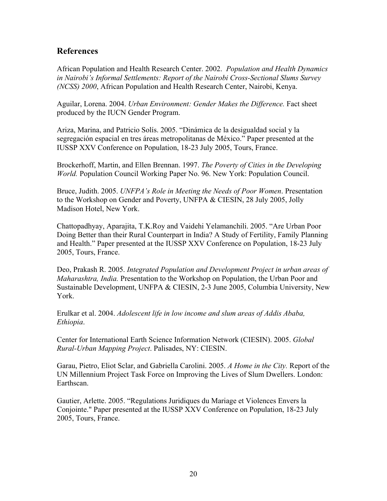## **References**

African Population and Health Research Center. 2002. *Population and Health Dynamics in Nairobi's Informal Settlements: Report of the Nairobi Cross-Sectional Slums Survey (NCSS) 2000*, African Population and Health Research Center, Nairobi, Kenya.

Aguilar, Lorena. 2004. *Urban Environment: Gender Makes the Difference.* Fact sheet produced by the IUCN Gender Program.

Ariza, Marina, and Patricio Solís. 2005. "Dinámica de la desigualdad social y la segregación espacial en tres áreas metropolitanas de México." Paper presented at the IUSSP XXV Conference on Population, 18-23 July 2005, Tours, France.

Brockerhoff, Martin, and Ellen Brennan. 1997. *The Poverty of Cities in the Developing World.* Population Council Working Paper No. 96. New York: Population Council.

Bruce, Judith. 2005. *UNFPA's Role in Meeting the Needs of Poor Women*. Presentation to the Workshop on Gender and Poverty, UNFPA & CIESIN, 28 July 2005, Jolly Madison Hotel, New York.

Chattopadhyay, Aparajita, T.K.Roy and Vaidehi Yelamanchili. 2005. "Are Urban Poor Doing Better than their Rural Counterpart in India? A Study of Fertility, Family Planning and Health." Paper presented at the IUSSP XXV Conference on Population, 18-23 July 2005, Tours, France.

Deo, Prakash R. 2005. *Integrated Population and Development Project in urban areas of Maharashtra, India.* Presentation to the Workshop on Population, the Urban Poor and Sustainable Development, UNFPA & CIESIN, 2-3 June 2005, Columbia University, New York.

Erulkar et al. 2004. *Adolescent life in low income and slum areas of Addis Ababa, Ethiopia*.

Center for International Earth Science Information Network (CIESIN). 2005. *Global Rural-Urban Mapping Project*. Palisades, NY: CIESIN.

Garau, Pietro, Eliot Sclar, and Gabriella Carolini. 2005. *A Home in the City.* Report of the UN Millennium Project Task Force on Improving the Lives of Slum Dwellers. London: Earthscan.

Gautier, Arlette. 2005. "Regulations Juridiques du Mariage et Violences Envers la Conjointe." Paper presented at the IUSSP XXV Conference on Population, 18-23 July 2005, Tours, France.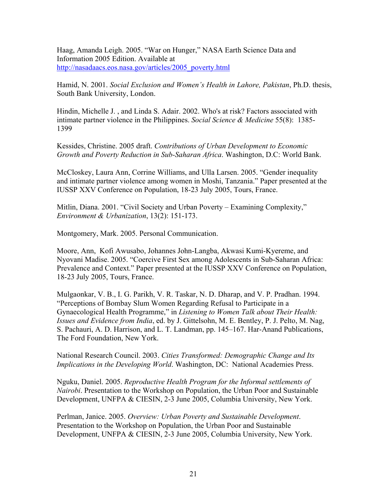Haag, Amanda Leigh. 2005. "War on Hunger," NASA Earth Science Data and Information 2005 Edition. Available at http://nasadaacs.eos.nasa.gov/articles/2005\_poverty.html

Hamid, N. 2001. *Social Exclusion and Women's Health in Lahore, Pakistan*, Ph.D. thesis, South Bank University, London.

Hindin, Michelle J. , and Linda S. Adair. 2002. Who's at risk? Factors associated with intimate partner violence in the Philippines. *Social Science & Medicine* 55(8): 1385- 1399

Kessides, Christine. 2005 draft. *Contributions of Urban Development to Economic Growth and Poverty Reduction in Sub-Saharan Africa*. Washington, D.C: World Bank.

McCloskey, Laura Ann, Corrine Williams, and Ulla Larsen. 2005. "Gender inequality and intimate partner violence among women in Moshi, Tanzania." Paper presented at the IUSSP XXV Conference on Population, 18-23 July 2005, Tours, France.

Mitlin, Diana. 2001. "Civil Society and Urban Poverty – Examining Complexity," *Environment & Urbanization*, 13(2): 151-173.

Montgomery, Mark. 2005. Personal Communication.

Moore, Ann, Kofi Awusabo, Johannes John-Langba, Akwasi Kumi-Kyereme, and Nyovani Madise. 2005. "Coercive First Sex among Adolescents in Sub-Saharan Africa: Prevalence and Context." Paper presented at the IUSSP XXV Conference on Population, 18-23 July 2005, Tours, France.

Mulgaonkar, V. B., I. G. Parikh, V. R. Taskar, N. D. Dharap, and V. P. Pradhan. 1994. "Perceptions of Bombay Slum Women Regarding Refusal to Participate in a Gynaecological Health Programme," in *Listening to Women Talk about Their Health: Issues and Evidence from India*, ed. by J. Gittelsohn, M. E. Bentley, P. J. Pelto, M. Nag, S. Pachauri, A. D. Harrison, and L. T. Landman, pp. 145–167. Har-Anand Publications, The Ford Foundation, New York.

National Research Council. 2003. *Cities Transformed: Demographic Change and Its Implications in the Developing World*. Washington, DC: National Academies Press.

Nguku, Daniel. 2005. *Reproductive Health Program for the Informal settlements of Nairobi*. Presentation to the Workshop on Population, the Urban Poor and Sustainable Development, UNFPA & CIESIN, 2-3 June 2005, Columbia University, New York.

Perlman, Janice. 2005. *Overview: Urban Poverty and Sustainable Development*. Presentation to the Workshop on Population, the Urban Poor and Sustainable Development, UNFPA & CIESIN, 2-3 June 2005, Columbia University, New York.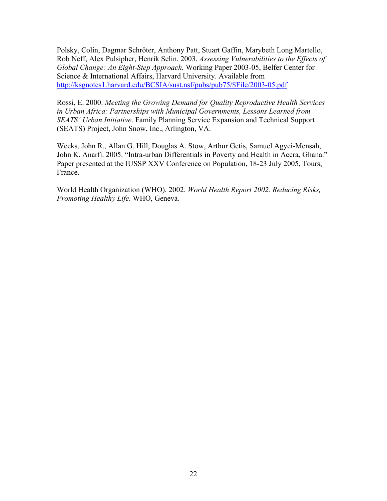Polsky, Colin, Dagmar Schröter, Anthony Patt, Stuart Gaffin, Marybeth Long Martello, Rob Neff, Alex Pulsipher, Henrik Selin. 2003. *Assessing Vulnerabilities to the Effects of Global Change: An Eight-Step Approach.* Working Paper 2003-05, Belfer Center for Science & International Affairs, Harvard University. Available from http://ksgnotes1.harvard.edu/BCSIA/sust.nsf/pubs/pub75/\$File/2003-05.pdf

Rossi, E. 2000. *Meeting the Growing Demand for Quality Reproductive Health Services in Urban Africa: Partnerships with Municipal Governments, Lessons Learned from SEATS' Urban Initiative*. Family Planning Service Expansion and Technical Support (SEATS) Project, John Snow, Inc., Arlington, VA.

Weeks, John R., Allan G. Hill, Douglas A. Stow, Arthur Getis, Samuel Agyei-Mensah, John K. Anarfi. 2005. "Intra-urban Differentials in Poverty and Health in Accra, Ghana." Paper presented at the IUSSP XXV Conference on Population, 18-23 July 2005, Tours, France.

World Health Organization (WHO). 2002. *World Health Report 2002. Reducing Risks, Promoting Healthy Life*. WHO, Geneva.